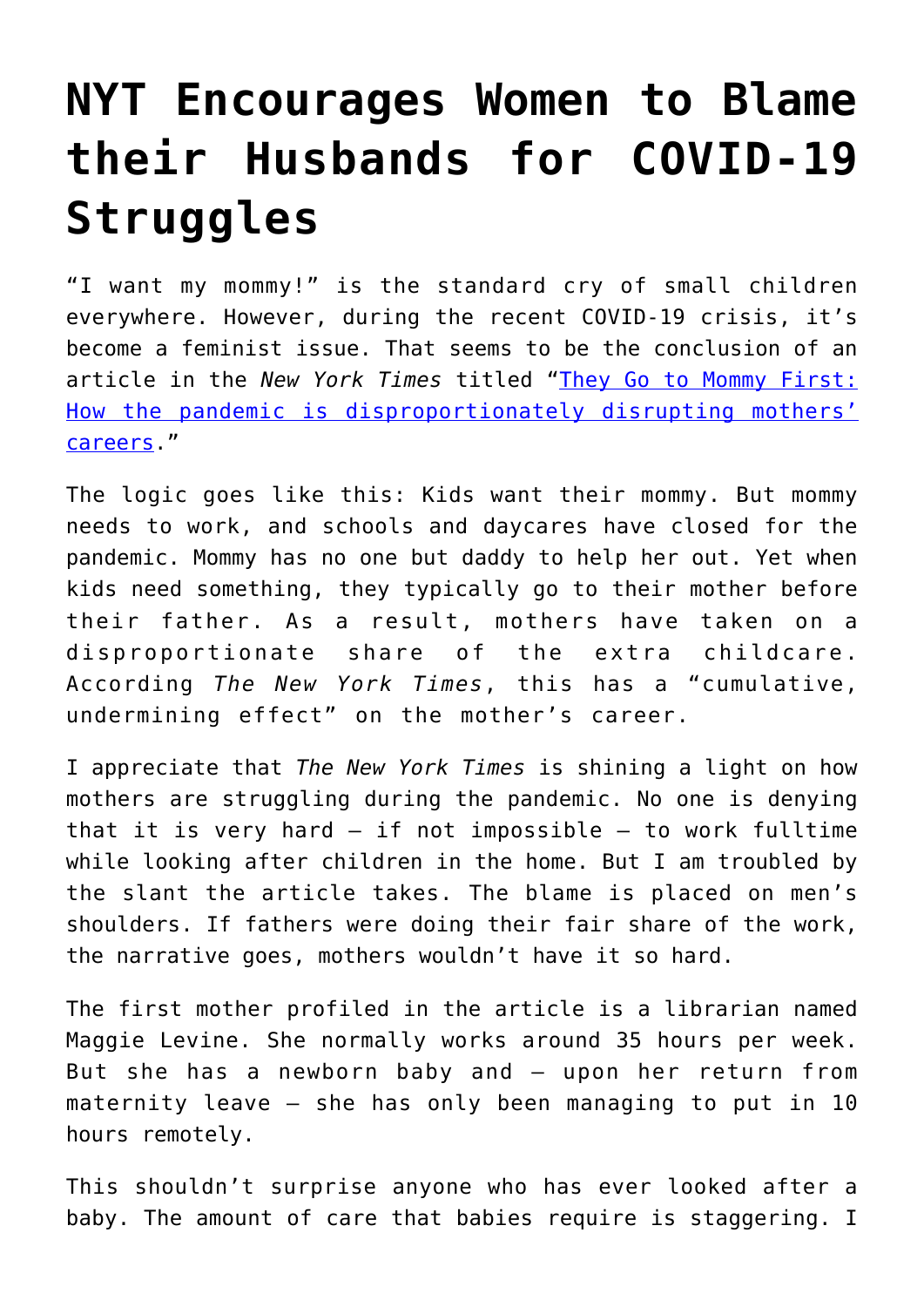## **[NYT Encourages Women to Blame](https://intellectualtakeout.org/2020/08/nyt-encourages-women-to-blame-their-husbands-for-covid-19-struggles/) [their Husbands for COVID-19](https://intellectualtakeout.org/2020/08/nyt-encourages-women-to-blame-their-husbands-for-covid-19-struggles/) [Struggles](https://intellectualtakeout.org/2020/08/nyt-encourages-women-to-blame-their-husbands-for-covid-19-struggles/)**

"I want my mommy!" is the standard cry of small children everywhere. However, during the recent COVID-19 crisis, it's become a feminist issue. That seems to be the conclusion of an article in the *New York Times* titled "[They Go to Mommy First:](https://www.nytimes.com/2020/07/15/parenting/working-moms-coronavirus.html) [How the pandemic is disproportionately disrupting mothers'](https://www.nytimes.com/2020/07/15/parenting/working-moms-coronavirus.html) [careers](https://www.nytimes.com/2020/07/15/parenting/working-moms-coronavirus.html)."

The logic goes like this: Kids want their mommy. But mommy needs to work, and schools and daycares have closed for the pandemic. Mommy has no one but daddy to help her out. Yet when kids need something, they typically go to their mother before their father. As a result, mothers have taken on a disproportionate share of the extra childcare. According *The New York Times*, this has a "cumulative, undermining effect" on the mother's career.

I appreciate that *The New York Times* is shining a light on how mothers are struggling during the pandemic. No one is denying that it is very hard – if not impossible – to work fulltime while looking after children in the home. But I am troubled by the slant the article takes. The blame is placed on men's shoulders. If fathers were doing their fair share of the work, the narrative goes, mothers wouldn't have it so hard.

The first mother profiled in the article is a librarian named Maggie Levine. She normally works around 35 hours per week. But she has a newborn baby and – upon her return from maternity leave – she has only been managing to put in 10 hours remotely.

This shouldn't surprise anyone who has ever looked after a baby. The amount of care that babies require is staggering. I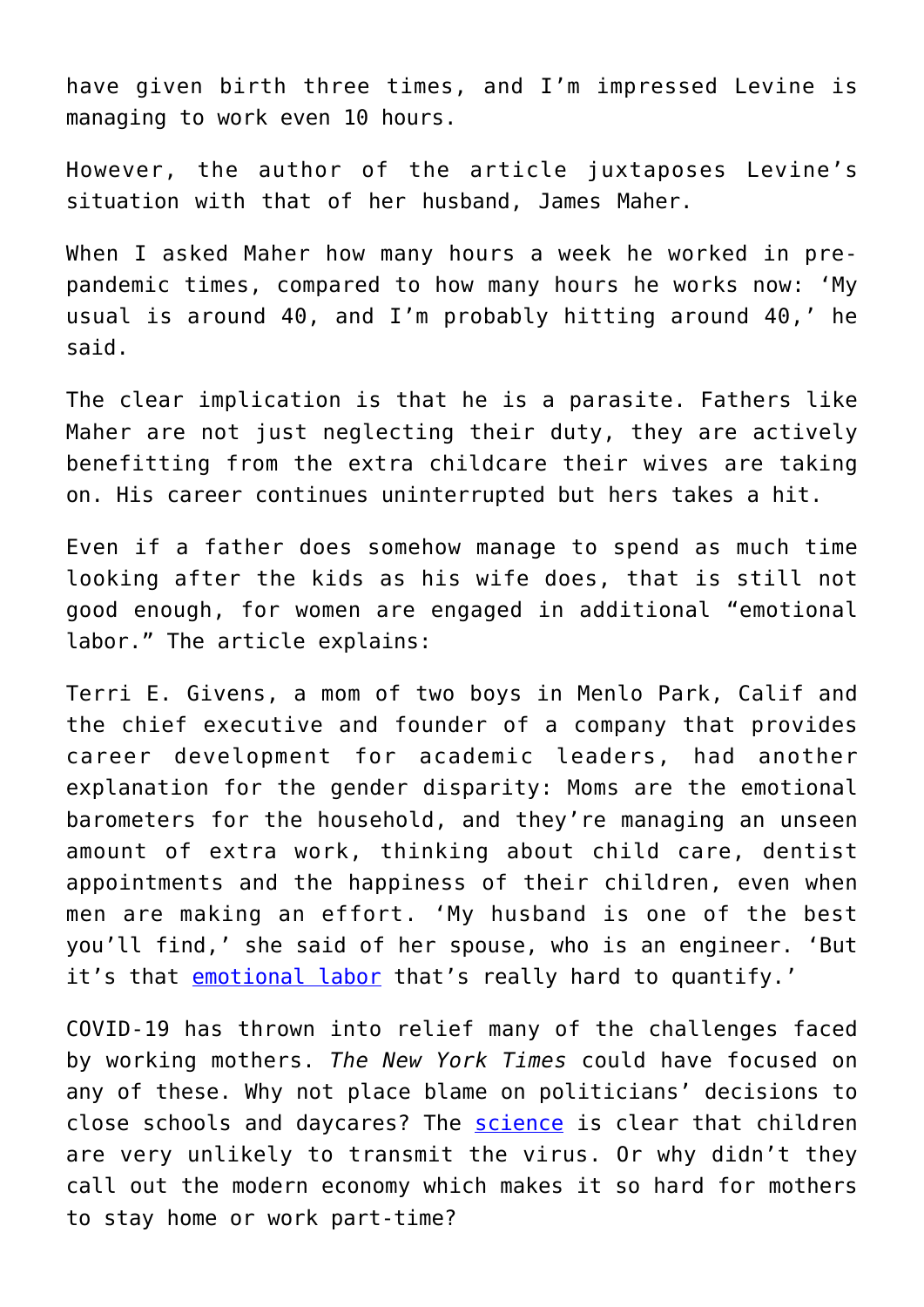have given birth three times, and I'm impressed Levine is managing to work even 10 hours.

However, the author of the article juxtaposes Levine's situation with that of her husband, James Maher.

When I asked Maher how many hours a week he worked in prepandemic times, compared to how many hours he works now: 'My usual is around 40, and I'm probably hitting around 40,' he said.

The clear implication is that he is a parasite. Fathers like Maher are not just neglecting their duty, they are actively benefitting from the extra childcare their wives are taking on. His career continues uninterrupted but hers takes a hit.

Even if a father does somehow manage to spend as much time looking after the kids as his wife does, that is still not good enough, for women are engaged in additional "emotional labor." The article explains:

Terri E. Givens, a mom of two boys in Menlo Park, Calif and the chief executive and founder of a company that provides career development for academic leaders, had another explanation for the gender disparity: Moms are the emotional barometers for the household, and they're managing an unseen amount of extra work, thinking about child care, dentist appointments and the happiness of their children, even when men are making an effort. 'My husband is one of the best you'll find,' she said of her spouse, who is an engineer. 'But it's that [emotional labor](https://www.nytimes.com/article/emotional-labor.html) that's really hard to quantify.'

COVID-19 has thrown into relief many of the challenges faced by working mothers. *The New York Times* could have focused on any of these. Why not place blame on politicians' decisions to close schools and daycares? The [science](https://www.bbc.com/news/world-europe-52470838) is clear that children are very unlikely to transmit the virus. Or why didn't they call out the modern economy which makes it so hard for mothers to stay home or work part-time?